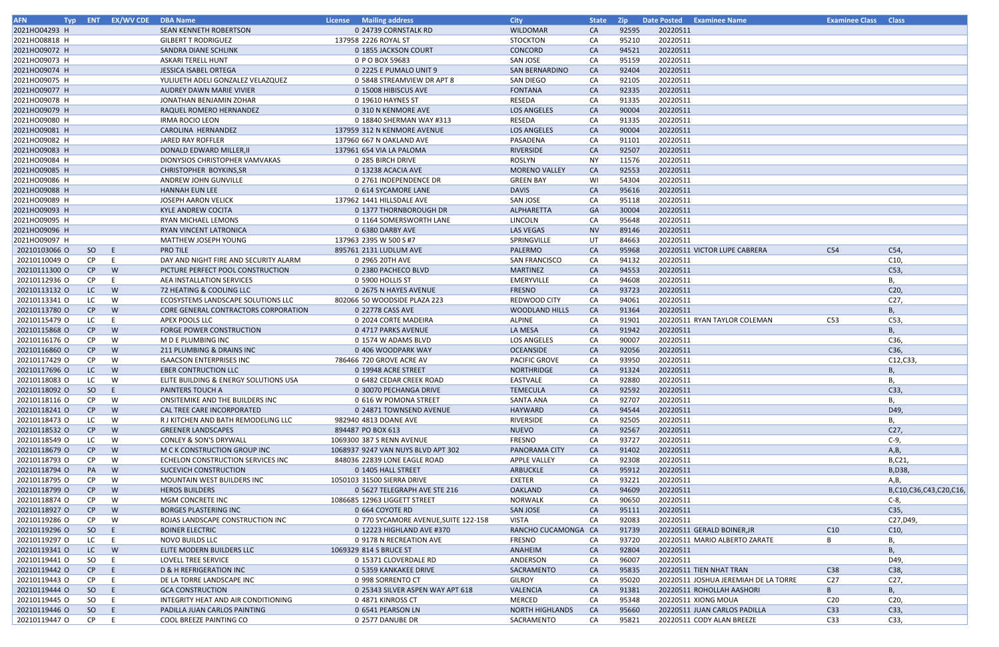| <b>AFN</b>    |           | Typ ENT EX/WV CDE DBA Name |                                       | License Mailing address              | <b>City</b>            | <b>State</b> |       | <b>Zip</b> Date Posted Examinee Name |                                      | <b>Examinee Class Class</b> |                       |
|---------------|-----------|----------------------------|---------------------------------------|--------------------------------------|------------------------|--------------|-------|--------------------------------------|--------------------------------------|-----------------------------|-----------------------|
| 2021HO04293 H |           |                            | SEAN KENNETH ROBERTSON                | 0 24739 CORNSTALK RD                 | <b>WILDOMAR</b>        | CA           | 92595 | 20220511                             |                                      |                             |                       |
| 2021HO08818 H |           |                            | <b>GILBERT T RODRIGUEZ</b>            | 137958 2226 ROYAL ST                 | <b>STOCKTON</b>        | CA           | 95210 | 20220511                             |                                      |                             |                       |
| 2021HO09072 H |           |                            | SANDRA DIANE SCHLINK                  | 0 1855 JACKSON COURT                 | CONCORD                | CA           | 94521 | 20220511                             |                                      |                             |                       |
| 2021HO09073 H |           |                            | ASKARI TERELL HUNT                    | 0 P O BOX 59683                      | SAN JOSE               | CA           | 95159 | 20220511                             |                                      |                             |                       |
| 2021HO09074 H |           |                            | <b>JESSICA ISABEL ORTEGA</b>          | 0 2225 E PUMALO UNIT 9               | <b>SAN BERNARDINO</b>  | <b>CA</b>    | 92404 | 20220511                             |                                      |                             |                       |
| 2021HO09075 H |           |                            | YULIUETH ADELI GONZALEZ VELAZQUEZ     | 0 5848 STREAMVIEW DR APT 8           | SAN DIEGO              | CA           | 92105 | 20220511                             |                                      |                             |                       |
| 2021HO09077 H |           |                            | AUDREY DAWN MARIE VIVIER              | 0 15008 HIBISCUS AVE                 | <b>FONTANA</b>         | <b>CA</b>    | 92335 | 20220511                             |                                      |                             |                       |
| 2021HO09078 H |           |                            | JONATHAN BENJAMIN ZOHAR               | 0 19610 HAYNES ST                    | RESEDA                 | CA           | 91335 | 20220511                             |                                      |                             |                       |
| 2021HO09079 H |           |                            | RAQUEL ROMERO HERNANDEZ               | 0 310 N KENMORE AVE                  | <b>LOS ANGELES</b>     | <b>CA</b>    | 90004 | 20220511                             |                                      |                             |                       |
| 2021HO09080 H |           |                            | <b>IRMA ROCIO LEON</b>                | 0 18840 SHERMAN WAY #313             | RESEDA                 | CA           | 91335 | 20220511                             |                                      |                             |                       |
| 2021HO09081 H |           |                            | CAROLINA HERNANDEZ                    | 137959 312 N KENMORE AVENUE          | <b>LOS ANGELES</b>     | CA           | 90004 | 20220511                             |                                      |                             |                       |
| 2021HO09082 H |           |                            | JARED RAY ROFFLER                     | 137960 667 N OAKLAND AVE             | PASADENA               | CA           | 91101 | 20220511                             |                                      |                             |                       |
| 2021HO09083 H |           |                            | DONALD EDWARD MILLER, II              | 137961 654 VIA LA PALOMA             | RIVERSIDE              | CA           | 92507 | 20220511                             |                                      |                             |                       |
| 2021HO09084 H |           |                            | DIONYSIOS CHRISTOPHER VAMVAKAS        | 0 285 BIRCH DRIVE                    | ROSLYN                 | NY           | 11576 | 20220511                             |                                      |                             |                       |
| 2021HO09085 H |           |                            | CHRISTOPHER BOYKINS, SR               | 0 13238 ACACIA AVE                   | <b>MORENO VALLEY</b>   | CA           | 92553 | 20220511                             |                                      |                             |                       |
| 2021HO09086 H |           |                            | <b>ANDREW JOHN GUNVILLE</b>           | 0 2761 INDEPENDENCE DR               | <b>GREEN BAY</b>       | WI           | 54304 | 20220511                             |                                      |                             |                       |
| 2021HO09088 H |           |                            | <b>HANNAH EUN LEE</b>                 | 0 614 SYCAMORE LANE                  | <b>DAVIS</b>           | CA           | 95616 | 20220511                             |                                      |                             |                       |
| 2021HO09089 H |           |                            | <b>JOSEPH AARON VELICK</b>            | 137962 1441 HILLSDALE AVE            | SAN JOSE               | CA           | 95118 | 20220511                             |                                      |                             |                       |
| 2021HO09093 H |           |                            | <b>KYLE ANDREW COCITA</b>             | 0 1377 THORNBOROUGH DR               | ALPHARETTA             | GA           | 30004 |                                      |                                      |                             |                       |
|               |           |                            |                                       |                                      |                        |              | 95648 | 20220511<br>20220511                 |                                      |                             |                       |
| 2021HO09095 H |           |                            | RYAN MICHAEL LEMONS                   | 0 1164 SOMERSWORTH LANE              | LINCOLN                | CA           |       |                                      |                                      |                             |                       |
| 2021HO09096 H |           |                            | RYAN VINCENT LATRONICA                | 0 6380 DARBY AVE                     | LAS VEGAS              | <b>NV</b>    | 89146 | 20220511                             |                                      |                             |                       |
| 2021HO09097 H |           |                            | MATTHEW JOSEPH YOUNG                  | 137963 2395 W 500 S #7               | SPRINGVILLE            | UT           | 84663 | 20220511                             |                                      |                             |                       |
| 20210103066 O | SO        | - E                        | <b>PRO TILE</b>                       | 895761 2131 LUDLUM AVE               | PALERMO                | CA           | 95968 |                                      | 20220511 VICTOR LUPE CABRERA         | C54                         | C54,                  |
| 20210110049 O | CP        | -E                         | DAY AND NIGHT FIRE AND SECURITY ALARM | 0 2965 20TH AVE                      | <b>SAN FRANCISCO</b>   | CA           | 94132 | 20220511                             |                                      |                             | C10,                  |
| 20210111300 O | CP        | W                          | PICTURE PERFECT POOL CONSTRUCTION     | 0 2380 PACHECO BLVD                  | <b>MARTINEZ</b>        | CA           | 94553 | 20220511                             |                                      |                             | C53,                  |
| 20210112936 O | <b>CP</b> | -E                         | AEA INSTALLATION SERVICES             | 0 5900 HOLLIS ST                     | <b>EMERYVILLE</b>      | CA           | 94608 | 20220511                             |                                      |                             | В,                    |
| 20210113132 O | LC .      | W                          | 72 HEATING & COOLING LLC              | 0 2675 N HAYES AVENUE                | <b>FRESNO</b>          | CA           | 93723 | 20220511                             |                                      |                             | C <sub>20</sub>       |
| 20210113341 O | LC        | W                          | ECOSYSTEMS LANDSCAPE SOLUTIONS LLC    | 802066 50 WOODSIDE PLAZA 223         | <b>REDWOOD CITY</b>    | CA           | 94061 | 20220511                             |                                      |                             | C <sub>27</sub>       |
| 20210113780 O | CP        | W                          | CORE GENERAL CONTRACTORS CORPORATION  | 0 22778 CASS AVE                     | WOODLAND HILLS         | <b>CA</b>    | 91364 | 20220511                             |                                      |                             | В,                    |
| 20210115479 O | LC        |                            | APEX POOLS LLC                        | 0 2024 CORTE MADEIRA                 | ALPINE                 | CA           | 91901 |                                      | 20220511 RYAN TAYLOR COLEMAN         | C53                         | C53,                  |
| 20210115868 O | CP        | W                          | <b>FORGE POWER CONSTRUCTION</b>       | 0 4717 PARKS AVENUE                  | LA MESA                | CA           | 91942 | 20220511                             |                                      |                             | <b>B.</b>             |
| 20210116176 O | CP.       | W                          | M D E PLUMBING INC                    | 0 1574 W ADAMS BLVD                  | LOS ANGELES            | CA           | 90007 | 20220511                             |                                      |                             | C36,                  |
| 20210116860 O | CP        | W                          | 211 PLUMBING & DRAINS INC             | 0 406 WOODPARK WAY                   | <b>OCEANSIDE</b>       | CA           | 92056 | 20220511                             |                                      |                             | C36,                  |
| 20210117429 O | <b>CP</b> | W                          | <b>ISAACSON ENTERPRISES INC</b>       | 786466 720 GROVE ACRE AV             | <b>PACIFIC GROVE</b>   | CA           | 93950 | 20220511                             |                                      |                             | C12, C33,             |
| 20210117696 O | LC .      | W                          | <b>EBER CONTRUCTION LLC</b>           | 0 19948 ACRE STREET                  | NORTHRIDGE             | <b>CA</b>    | 91324 | 20220511                             |                                      |                             |                       |
| 20210118083 O | LC.       | W                          | ELITE BUILDING & ENERGY SOLUTIONS USA | 0 6482 CEDAR CREEK ROAD              | EASTVALE               | CA           | 92880 | 20220511                             |                                      |                             |                       |
| 20210118092 0 | SO        | - E                        | <b>PAINTERS TOUCH A</b>               | 0 30070 PECHANGA DRIVE               | <b>TEMECULA</b>        | CA           | 92592 | 20220511                             |                                      |                             | C33,                  |
| 20210118116 O | <b>CP</b> | W                          | ONSITEMIKE AND THE BUILDERS INC       | 0 616 W POMONA STREET                | <b>SANTA ANA</b>       | CA           | 92707 | 20220511                             |                                      |                             | В,                    |
| 20210118241 O | CP        | W                          | CAL TREE CARE INCORPORATED            | 0 24871 TOWNSEND AVENUE              | <b>HAYWARD</b>         | CA           | 94544 | 20220511                             |                                      |                             | D49,                  |
| 20210118473 O | LC        | W                          | R J KITCHEN AND BATH REMODELING LLC   | 982940 4813 DOANE AVE                | RIVERSIDE              | CA           | 92505 | 20220511                             |                                      |                             | В,                    |
| 20210118532 O | CP        | W                          | <b>GREENER LANDSCAPES</b>             | 894487 PO BOX 613                    | <b>NUEVO</b>           | <b>CA</b>    | 92567 | 20220511                             |                                      |                             | C <sub>27</sub>       |
| 20210118549 O | LC        | W                          | <b>CONLEY &amp; SON'S DRYWALL</b>     | 1069300 387 S RENN AVENUE            | <b>FRESNO</b>          | CA           | 93727 | 20220511                             |                                      |                             | $C-9,$                |
| 20210118679 O | CP        | W                          | M C K CONSTRUCTION GROUP INC          | 1068937 9247 VAN NUYS BLVD APT 302   | <b>PANORAMA CITY</b>   | <b>CA</b>    | 91402 | 20220511                             |                                      |                             | A, B,                 |
| 20210118793 O | CP        | W                          | ECHELON CONSTRUCTION SERVICES INC     | 848036 22839 LONE EAGLE ROAD         | <b>APPLE VALLEY</b>    | CA           | 92308 | 20220511                             |                                      |                             | B,C21,                |
| 20210118794 O | PA        | W                          | SUCEVICH CONSTRUCTION                 | 0 1405 HALL STREET                   | ARBUCKLE               | CA           | 95912 | 20220511                             |                                      |                             | B, D38,               |
| 20210118795 O | CP        | W                          | MOUNTAIN WEST BUILDERS INC            | 1050103 31500 SIERRA DRIVE           | EXETER                 | CA           | 93221 | 20220511                             |                                      |                             | A,B,                  |
| 20210118799 O | CP        | W                          | <b>HEROS BUILDERS</b>                 | 0 5627 TELEGRAPH AVE STE 216         | <b>OAKLAND</b>         | <b>CA</b>    | 94609 | 20220511                             |                                      |                             | B,C10,C36,C43,C20,C16 |
| 20210118874 O | CP        | W                          | MGM CONCRETE INC                      | 1086685 12963 LIGGETT STREET         | NORWALK                | CA           | 90650 | 20220511                             |                                      |                             | $C-8$ ,               |
| 20210118927 O | CP        | W                          | <b>BORGES PLASTERING INC</b>          | 0 664 COYOTE RD                      | SAN JOSE               | <b>CA</b>    | 95111 | 20220511                             |                                      |                             | C35,                  |
| 20210119286 O | CP        | W                          | ROJAS LANDSCAPE CONSTRUCTION INC      | 0 770 SYCAMORE AVENUE, SUITE 122-158 | VISTA                  | CA           | 92083 | 20220511                             |                                      |                             | C27,D49,              |
| 20210119296 O |           |                            |                                       |                                      |                        |              |       |                                      |                                      | C10                         |                       |
|               | SO        | E                          | <b>BOINER ELECTRIC</b>                | 0 12223 HIGHLAND AVE #370            | RANCHO CUCAMONGA CA    |              | 91739 |                                      | 20220511 GERALD BOINER, JR           |                             | C10,                  |
| 20210119297 O | LC.       | E                          | NOVO BUILDS LLC                       | 0 9178 N RECREATION AVE              | <b>FRESNO</b>          | CA           | 93720 |                                      | 20220511 MARIO ALBERTO ZARATE        |                             | В,                    |
| 20210119341 O | LC.       | <b>W</b>                   | ELITE MODERN BUILDERS LLC             | 1069329 814 S BRUCE ST               | ANAHEIM                | <b>CA</b>    | 92804 | 20220511                             |                                      |                             | <b>B</b> ,            |
| 20210119441 O | SO        | E                          | LOVELL TREE SERVICE                   | 0 15371 CLOVERDALE RD                | ANDERSON               | CA           | 96007 | 20220511                             |                                      |                             | D49,                  |
| 20210119442 O | CP        | E                          | D & H REFRIGERATION INC               | 0 5359 KANKAKEE DRIVE                | SACRAMENTO             | <b>CA</b>    | 95835 |                                      | 20220511 TIEN NHAT TRAN              | C38                         | C38,                  |
| 20210119443 O | CP.       |                            | DE LA TORRE LANDSCAPE INC             | 0 998 SORRENTO CT                    | <b>GILROY</b>          | CA           | 95020 |                                      | 20220511 JOSHUA JEREMIAH DE LA TORRE | C <sub>27</sub>             | C <sub>27</sub>       |
| 20210119444 O | SO        | E                          | <b>GCA CONSTRUCTION</b>               | 0 25343 SILVER ASPEN WAY APT 618     | VALENCIA               | <b>CA</b>    | 91381 |                                      | 20220511 ROHOLLAH AASHORI            | B                           | В,                    |
| 20210119445 O | SO        | E                          | INTEGRITY HEAT AND AIR CONDITIONING   | 0 4871 KINROSS CT                    | MERCED                 | CA           | 95348 | 20220511 XIONG MOUA                  |                                      | C <sub>20</sub>             | C20,                  |
| 20210119446 O | SO        | -E.                        | PADILLA JUAN CARLOS PAINTING          | 0 6541 PEARSON LN                    | <b>NORTH HIGHLANDS</b> | CA           | 95660 |                                      | 20220511 JUAN CARLOS PADILLA         | C33                         | C33,                  |
| 20210119447 O | CP        |                            | COOL BREEZE PAINTING CO               | 0 2577 DANUBE DR                     | SACRAMENTO             | CA           | 95821 |                                      | 20220511 CODY ALAN BREEZE            | C33                         | C33,                  |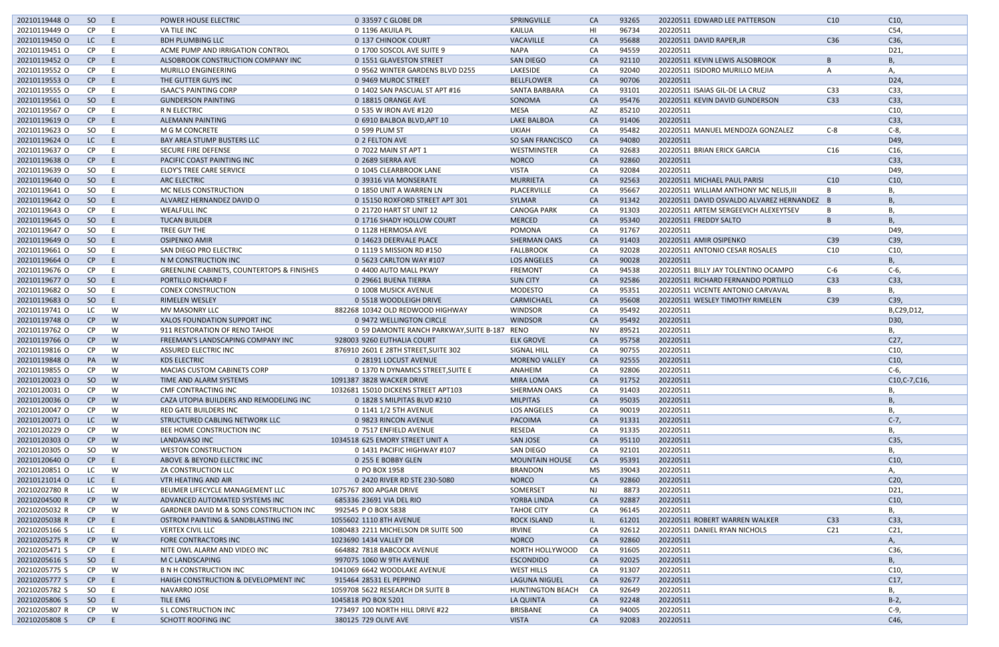| 20210119448 O | SO        | - E  | POWER HOUSE ELECTRIC                                  | 0 33597 C GLOBE DR                           | SPRINGVILLE             | CA        | 93265 | 20220511 EDWARD LEE PATTERSON               | C10             | C10,            |
|---------------|-----------|------|-------------------------------------------------------|----------------------------------------------|-------------------------|-----------|-------|---------------------------------------------|-----------------|-----------------|
| 20210119449 O | <b>CP</b> | E    | VA TILE INC                                           | 0 1196 AKUILA PL                             | <b>KAILUA</b>           | HI        | 96734 | 20220511                                    |                 | C54,            |
| 20210119450 O | LC.       | - E  | <b>BDH PLUMBING LLC</b>                               | 0 137 CHINOOK COURT                          | <b>VACAVILLE</b>        | <b>CA</b> | 95688 | 20220511 DAVID RAPER, JR                    | C36             | C36,            |
| 20210119451 O | CP        | E    | ACME PUMP AND IRRIGATION CONTROL                      | 0 1700 SOSCOL AVE SUITE 9                    | <b>NAPA</b>             | CA        | 94559 | 20220511                                    |                 | D21,            |
| 20210119452 O | CP        | E    | ALSOBROOK CONSTRUCTION COMPANY INC                    | 0 1551 GLAVESTON STREET                      | <b>SAN DIEGO</b>        | <b>CA</b> | 92110 | 20220511 KEVIN LEWIS ALSOBROOK              |                 |                 |
|               |           |      |                                                       |                                              |                         |           |       |                                             |                 |                 |
| 20210119552 O | CP.       | E    | <b>MURILLO ENGINEERING</b>                            | 0 9562 WINTER GARDENS BLVD D255              | LAKESIDE                | CA        | 92040 | 20220511 ISIDORO MURILLO MEJIA              |                 | А.              |
| 20210119553 O | CP        | -E   | THE GUTTER GUYS INC                                   | 0 9469 MUROC STREET                          | <b>BELLFLOWER</b>       | <b>CA</b> | 90706 | 20220511                                    |                 | D24,            |
| 20210119555 O | CP.       | E    | <b>ISAAC'S PAINTING CORP</b>                          | 0 1402 SAN PASCUAL ST APT #16                | SANTA BARBARA           | CA        | 93101 | 20220511 ISAIAS GIL-DE LA CRUZ              | C33             | C33,            |
| 20210119561 O | SO        | - E  | <b>GUNDERSON PAINTING</b>                             | 0 18815 ORANGE AVE                           | SONOMA                  | <b>CA</b> | 95476 | 20220511 KEVIN DAVID GUNDERSON              | C33             | C33,            |
| 20210119567 O | <b>CP</b> | - E  | R N ELECTRIC                                          | 0 535 W IRON AVE #120                        | <b>MESA</b>             | AZ        | 85210 | 20220511                                    |                 | C10,            |
| 20210119619 O | CP        | -E   | <b>ALEMANN PAINTING</b>                               | 0 6910 BALBOA BLVD, APT 10                   | <b>LAKE BALBOA</b>      | <b>CA</b> | 91406 | 20220511                                    |                 | C33,            |
| 20210119623 O | SO        | E    | M G M CONCRETE                                        | 0 599 PLUM ST                                | <b>UKIAH</b>            | CA        | 95482 | 20220511 MANUEL MENDOZA GONZALEZ            | $C-8$           | $C-8$ ,         |
| 20210119624 O | LC.       | E    | <b>BAY AREA STUMP BUSTERS LLC</b>                     | 0 2 FELTON AVE                               | SO SAN FRANCISCO        | <b>CA</b> | 94080 | 20220511                                    |                 | D49,            |
| 20210119637 O | CP.       | E.   | SECURE FIRE DEFENSE                                   | 0 7022 MAIN ST APT 1                         | WESTMINSTER             | CA        | 92683 | 20220511 BRIAN ERICK GARCIA                 | C16             | C <sub>16</sub> |
| 20210119638 O | CP        | -E   | PACIFIC COAST PAINTING INC                            | 0 2689 SIERRA AVE                            | <b>NORCO</b>            | <b>CA</b> | 92860 | 20220511                                    |                 | C33,            |
| 20210119639 O | SO        | E.   | <b>ELOY'S TREE CARE SERVICE</b>                       | 0 1045 CLEARBROOK LANE                       | <b>VISTA</b>            | CA        | 92084 | 20220511                                    |                 | D49,            |
| 20210119640 O | SO        | -E   | <b>ARC ELECTRIC</b>                                   | 0 39316 VIA MONSERATE                        | <b>MURRIETA</b>         | <b>CA</b> | 92563 | 20220511 MICHAEL PAUL PARISI                | C10             | C10             |
| 20210119641 O | SO        | E.   | MC NELIS CONSTRUCTION                                 | 0 1850 UNIT A WARREN LN                      | PLACERVILLE             | CA        | 95667 | 20220511 WILLIAM ANTHONY MC NELIS, III      |                 |                 |
| 20210119642 O | SO        | -E   | ALVAREZ HERNANDEZ DAVID O                             | 0 15150 ROXFORD STREET APT 301               | <b>SYLMAR</b>           | <b>CA</b> | 91342 | 20220511 DAVID OSVALDO ALVAREZ HERNANDEZ B  |                 |                 |
| 20210119643 O | <b>CP</b> | E    | <b>WEALFULL INC</b>                                   | 0 21720 HART ST UNIT 12                      | <b>CANOGA PARK</b>      | CA        | 91303 | 20220511 ARTEM SERGEEVICH ALEXEYTSEV        |                 | В,              |
| 20210119645 O | SO        | $-E$ | <b>TUCAN BUILDER</b>                                  | 0 1716 SHADY HOLLOW COURT                    | <b>MERCED</b>           | <b>CA</b> | 95340 | 20220511 FREDDY SALTO                       |                 |                 |
| 20210119647 O | SO        | - E  | TREE GUY THE                                          | 0 1128 HERMOSA AVE                           | POMONA                  | CA        | 91767 | 20220511                                    |                 | D49,            |
| 20210119649 O | SO        | $-E$ | <b>OSIPENKO AMIR</b>                                  | 0 14623 DEERVALE PLACE                       | <b>SHERMAN OAKS</b>     | <b>CA</b> | 91403 | 20220511 AMIR OSIPENKO                      | C39             | C39,            |
| 20210119661 O | SO.       | - E  | SAN DIEGO PRO ELECTRIC                                | 0 1119 S MISSION RD #150                     | <b>FALLBROOK</b>        | CA        | 92028 | 20220511 ANTONIO CESAR ROSALES              | C10             | C10,            |
| 20210119664 O | CP        | -E   | N M CONSTRUCTION INC                                  | 0 5623 CARLTON WAY #107                      | <b>LOS ANGELES</b>      | <b>CA</b> | 90028 | 20220511                                    |                 | <b>B.</b>       |
| 20210119676 O | <b>CP</b> | E    | <b>GREENLINE CABINETS, COUNTERTOPS &amp; FINISHES</b> | 0 4400 AUTO MALL PKWY                        | <b>FREMONT</b>          | CA        | 94538 | 20220511 BILLY JAY TOLENTINO OCAMPO         | $C-6$           | $C-6$           |
| 20210119677 O | SO        | E    | PORTILLO RICHARD F                                    | 0 29661 BUENA TIERRA                         | <b>SUN CITY</b>         | <b>CA</b> | 92586 | 20220511 RICHARD FERNANDO PORTILLO          | C <sub>33</sub> | C33,            |
| 20210119682 O | SO.       | E    | <b>CONEX CONSTRUCTION</b>                             | 0 1008 MUSICK AVENUE                         | <b>MODESTO</b>          | CA        | 95351 | 20220511 VICENTE ANTONIO CARVAVAL           | B               | <b>B.</b>       |
| 20210119683 O | SO        | E    | <b>RIMELEN WESLEY</b>                                 | 0 5518 WOODLEIGH DRIVE                       | CARMICHAEL              | <b>CA</b> | 95608 |                                             | C39             | C39,            |
| 20210119741 O | LC        |      | MV MASONRY LLC                                        | 882268 10342 OLD REDWOOD HIGHWAY             | <b>WINDSOR</b>          |           | 95492 | 20220511 WESLEY TIMOTHY RIMELEN<br>20220511 |                 | B,C29,D12,      |
|               |           | W    |                                                       |                                              |                         | CA        |       |                                             |                 |                 |
| 20210119748 O | CP        | W    | XALOS FOUNDATION SUPPORT INC                          | 0 9472 WELLINGTON CIRCLE                     | <b>WINDSOR</b>          | <b>CA</b> | 95492 | 20220511                                    |                 | D30,            |
| 20210119762 O | CP        | W    | 911 RESTORATION OF RENO TAHOE                         | 0 59 DAMONTE RANCH PARKWAY, SUITE B-187 RENO |                         | NV        | 89521 | 20220511                                    |                 |                 |
| 20210119766 O | CP        | W    | FREEMAN'S LANDSCAPING COMPANY INC                     | 928003 9260 EUTHALIA COURT                   | <b>ELK GROVE</b>        | <b>CA</b> | 95758 | 20220511                                    |                 | C27,            |
| 20210119816 O | CP.       | W    | <b>ASSURED ELECTRIC INC</b>                           | 876910 2601 E 28TH STREET, SUITE 302         | SIGNAL HILL             | CA        | 90755 | 20220511                                    |                 | C10,            |
| 20210119848 O | <b>PA</b> | W    | <b>KDS ELECTRIC</b>                                   | 0 28191 LOCUST AVENUE                        | <b>MORENO VALLEY</b>    | <b>CA</b> | 92555 | 20220511                                    |                 | C10,            |
| 20210119855 O | CP.       | W    | <b>MACIAS CUSTOM CABINETS CORP</b>                    | 0 1370 N DYNAMICS STREET, SUITE E            | ANAHEIM                 | CA        | 92806 | 20220511                                    |                 | $C-6$ ,         |
| 20210120023 O | SO W      |      | TIME AND ALARM SYSTEMS                                | 1091387 3828 WACKER DRIVE                    | MIRA LOMA               | CA        | 91752 | 20220511                                    |                 | C10, C-7, C16,  |
| 20210120031 O | CP        | W    | CMF CONTRACTING INC                                   | 1032681 15010 DICKENS STREET APT103          | <b>SHERMAN OAKS</b>     | CA        | 91403 | 20220511                                    |                 | Β,              |
| 20210120036 O | CP        | W    | CAZA UTOPIA BUILDERS AND REMODELING INC               | 0 1828 S MILPITAS BLVD #210                  | <b>MILPITAS</b>         | <b>CA</b> | 95035 | 20220511                                    |                 |                 |
| 20210120047 O | CP.       | W    | RED GATE BUILDERS INC                                 | 0 1141 1/2 5TH AVENUE                        | LOS ANGELES             | CA        | 90019 | 20220511                                    |                 | В,              |
| 20210120071 O | LC        | W    | STRUCTURED CABLING NETWORK LLC                        | 0 9823 RINCON AVENUE                         | PACOIMA                 | <b>CA</b> | 91331 | 20220511                                    |                 | $C-7$           |
| 20210120229 O | CP.       | W    | BEE HOME CONSTRUCTION INC                             | 0 7517 ENFIELD AVENUE                        | RESEDA                  | CA        | 91335 | 20220511                                    |                 | В,              |
| 20210120303 O | CP        | W    | LANDAVASO INC                                         | 1034518 625 EMORY STREET UNIT A              | SAN JOSE                | <b>CA</b> | 95110 | 20220511                                    |                 | C35,            |
| 20210120305 O | SO        | W    | <b>WESTON CONSTRUCTION</b>                            | 0 1431 PACIFIC HIGHWAY #107                  | SAN DIEGO               | CA        | 92101 | 20220511                                    |                 |                 |
| 20210120640 O | CP        | E    | ABOVE & BEYOND ELECTRIC INC                           | 0 255 E BOBBY GLEN                           | <b>MOUNTAIN HOUSE</b>   | CA        | 95391 | 20220511                                    |                 | C10,            |
| 20210120851 O | LC        | W    | ZA CONSTRUCTION LLC                                   | 0 PO BOX 1958                                | <b>BRANDON</b>          | <b>MS</b> | 39043 | 20220511                                    |                 | А,              |
| 20210121014 O | LC        | E    | VTR HEATING AND AIR                                   | 0 2420 RIVER RD STE 230-5080                 | <b>NORCO</b>            | <b>CA</b> | 92860 | 20220511                                    |                 | C20,            |
| 20210202780 R | LC.       | W    | BEUMER LIFECYCLE MANAGEMENT LLC                       | 1075767 800 APGAR DRIVE                      | SOMERSET                | NJ.       | 8873  | 20220511                                    |                 | D21,            |
| 20210204500 R | CP        | W    | ADVANCED AUTOMATED SYSTEMS INC                        | 685336 23691 VIA DEL RIO                     | YORBA LINDA             | <b>CA</b> | 92887 | 20220511                                    |                 | C10,            |
| 20210205032 R | CP.       | W    | <b>GARDNER DAVID M &amp; SONS CONSTRUCTION INC</b>    | 992545 P O BOX 5838                          | <b>TAHOE CITY</b>       | CA        | 96145 | 20220511                                    |                 | В,              |
| 20210205038 R | CP        | E    | OSTROM PAINTING & SANDBLASTING INC                    | 1055602 1110 8TH AVENUE                      | <b>ROCK ISLAND</b>      | IL        | 61201 | 20220511 ROBERT WARREN WALKER               | C33             | C33,            |
| 20210205166 S | LC.       | E    | <b>VERTEX CIVIL LLC</b>                               | 1080483 2211 MICHELSON DR SUITE 500          | <b>IRVINE</b>           | CA        | 92612 | 20220511 DANIEL RYAN NICHOLS                | C <sub>21</sub> | C <sub>21</sub> |
| 20210205275 R | CP        | W    | FORE CONTRACTORS INC                                  | 1023690 1434 VALLEY DR                       | <b>NORCO</b>            | <b>CA</b> | 92860 | 20220511                                    |                 | Α,              |
|               |           |      |                                                       |                                              |                         |           |       |                                             |                 |                 |
| 20210205471 S | CP.       | E.   | NITE OWL ALARM AND VIDEO INC                          | 664882 7818 BABCOCK AVENUE                   | NORTH HOLLYWOOD         | CA        | 91605 | 20220511                                    |                 | C36,            |
| 20210205616 S | SO        | E.   | M C LANDSCAPING                                       | 997075 1060 W 9TH AVENUE                     | <b>ESCONDIDO</b>        | CA        | 92025 | 20220511                                    |                 | <b>B</b> ,      |
| 20210205775 S | CP.       | W    | <b>B N H CONSTRUCTION INC</b>                         | 1041069 6642 WOODLAKE AVENUE                 | <b>WEST HILLS</b>       | CA        | 91307 | 20220511                                    |                 | C10,            |
| 20210205777 S | CP        | -E   | HAIGH CONSTRUCTION & DEVELOPMENT INC                  | 915464 28531 EL PEPPINO                      | LAGUNA NIGUEL           | CA        | 92677 | 20220511                                    |                 | C17,            |
| 20210205782 S | SO.       | - E  | NAVARRO JOSE                                          | 1059708 5622 RESEARCH DR SUITE B             | <b>HUNTINGTON BEACH</b> | - CA      | 92649 | 20220511                                    |                 | В,              |
| 20210205806 S | SO        | - E  | <b>TILE EMG</b>                                       | 1045818 PO BOX 5201                          | LA QUINTA               | CA        | 92248 | 20220511                                    |                 | $B-2$ ,         |
| 20210205807 R | CP.       | W    | S L CONSTRUCTION INC                                  | 773497 100 NORTH HILL DRIVE #22              | BRISBANE                | CA        | 94005 | 20220511                                    |                 | $C-9,$          |
| 20210205808 S | CP        | E    | SCHOTT ROOFING INC                                    | 380125 729 OLIVE AVE                         | <b>VISTA</b>            | <b>CA</b> | 92083 | 20220511                                    |                 | C46,            |